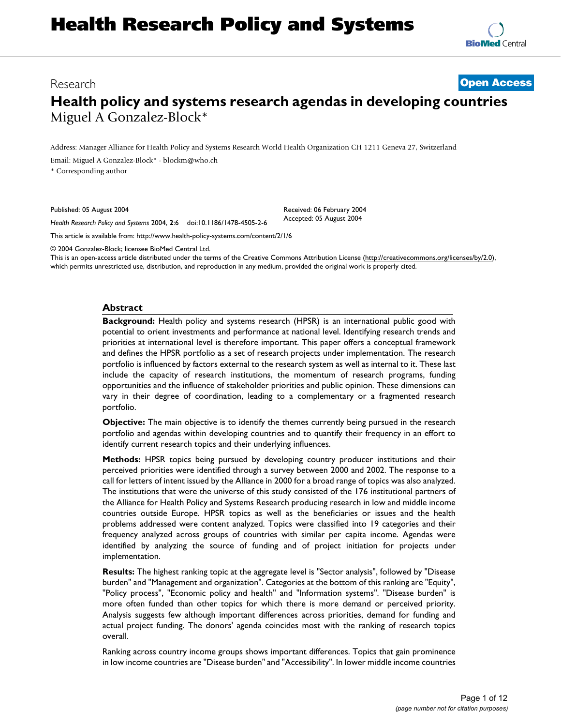# Research **[Open Access](http://www.biomedcentral.com/info/about/charter/) Health policy and systems research agendas in developing countries** Miguel A Gonzalez-Block\*

Address: Manager Alliance for Health Policy and Systems Research World Health Organization CH 1211 Geneva 27, Switzerland

Email: Miguel A Gonzalez-Block\* - blockm@who.ch

\* Corresponding author

Published: 05 August 2004

Received: 06 February 2004 Accepted: 05 August 2004

[This article is available from: http://www.health-policy-systems.com/content/2/1/6](http://www.health-policy-systems.com/content/2/1/6)

*Health Research Policy and Systems* 2004, **2**:6 doi:10.1186/1478-4505-2-6

© 2004 Gonzalez-Block; licensee BioMed Central Ltd.

This is an open-access article distributed under the terms of the Creative Commons Attribution License (<http://creativecommons.org/licenses/by/2.0>), which permits unrestricted use, distribution, and reproduction in any medium, provided the original work is properly cited.

#### **Abstract**

**Background:** Health policy and systems research (HPSR) is an international public good with potential to orient investments and performance at national level. Identifying research trends and priorities at international level is therefore important. This paper offers a conceptual framework and defines the HPSR portfolio as a set of research projects under implementation. The research portfolio is influenced by factors external to the research system as well as internal to it. These last include the capacity of research institutions, the momentum of research programs, funding opportunities and the influence of stakeholder priorities and public opinion. These dimensions can vary in their degree of coordination, leading to a complementary or a fragmented research portfolio.

**Objective:** The main objective is to identify the themes currently being pursued in the research portfolio and agendas within developing countries and to quantify their frequency in an effort to identify current research topics and their underlying influences.

**Methods:** HPSR topics being pursued by developing country producer institutions and their perceived priorities were identified through a survey between 2000 and 2002. The response to a call for letters of intent issued by the Alliance in 2000 for a broad range of topics was also analyzed. The institutions that were the universe of this study consisted of the 176 institutional partners of the Alliance for Health Policy and Systems Research producing research in low and middle income countries outside Europe. HPSR topics as well as the beneficiaries or issues and the health problems addressed were content analyzed. Topics were classified into 19 categories and their frequency analyzed across groups of countries with similar per capita income. Agendas were identified by analyzing the source of funding and of project initiation for projects under implementation.

**Results:** The highest ranking topic at the aggregate level is "Sector analysis", followed by "Disease burden" and "Management and organization". Categories at the bottom of this ranking are "Equity", "Policy process", "Economic policy and health" and "Information systems". "Disease burden" is more often funded than other topics for which there is more demand or perceived priority. Analysis suggests few although important differences across priorities, demand for funding and actual project funding. The donors' agenda coincides most with the ranking of research topics overall.

Ranking across country income groups shows important differences. Topics that gain prominence in low income countries are "Disease burden" and "Accessibility". In lower middle income countries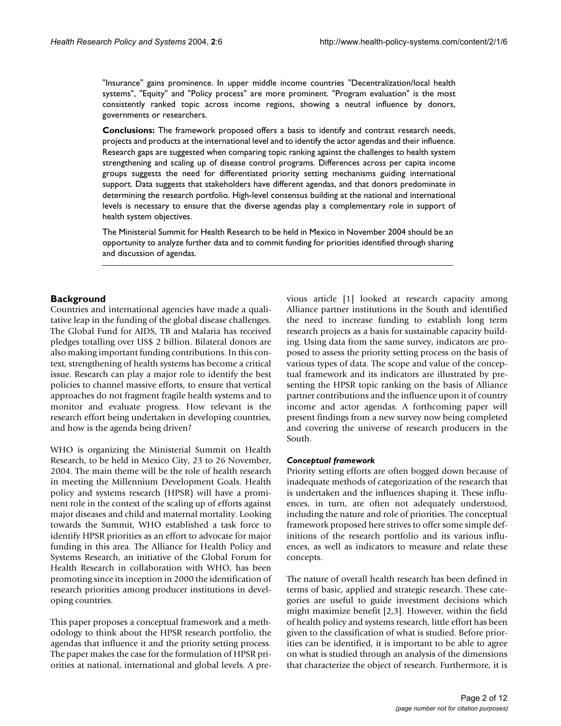"Insurance" gains prominence. In upper middle income countries "Decentralization/local health systems", "Equity" and "Policy process" are more prominent. "Program evaluation" is the most consistently ranked topic across income regions, showing a neutral influence by donors, governments or researchers.

**Conclusions:** The framework proposed offers a basis to identify and contrast research needs, projects and products at the international level and to identify the actor agendas and their influence. Research gaps are suggested when comparing topic ranking against the challenges to health system strengthening and scaling up of disease control programs. Differences across per capita income groups suggests the need for differentiated priority setting mechanisms guiding international support. Data suggests that stakeholders have different agendas, and that donors predominate in determining the research portfolio. High-level consensus building at the national and international levels is necessary to ensure that the diverse agendas play a complementary role in support of health system objectives.

The Ministerial Summit for Health Research to be held in Mexico in November 2004 should be an opportunity to analyze further data and to commit funding for priorities identified through sharing and discussion of agendas.

## **Background**

Countries and international agencies have made a qualitative leap in the funding of the global disease challenges. The Global Fund for AIDS, TB and Malaria has received pledges totalling over US\$ 2 billion. Bilateral donors are also making important funding contributions. In this context, strengthening of health systems has become a critical issue. Research can play a major role to identify the best policies to channel massive efforts, to ensure that vertical approaches do not fragment fragile health systems and to monitor and evaluate progress. How relevant is the research effort being undertaken in developing countries, and how is the agenda being driven?

WHO is organizing the Ministerial Summit on Health Research, to be held in Mexico City, 23 to 26 November, 2004. The main theme will be the role of health research in meeting the Millennium Development Goals. Health policy and systems research (HPSR) will have a prominent role in the context of the scaling up of efforts against major diseases and child and maternal mortality. Looking towards the Summit, WHO established a task force to identify HPSR priorities as an effort to advocate for major funding in this area. The Alliance for Health Policy and Systems Research, an initiative of the Global Forum for Health Research in collaboration with WHO, has been promoting since its inception in 2000 the identification of research priorities among producer institutions in developing countries.

This paper proposes a conceptual framework and a methodology to think about the HPSR research portfolio, the agendas that influence it and the priority setting process. The paper makes the case for the formulation of HPSR priorities at national, international and global levels. A previous article [1] looked at research capacity among Alliance partner institutions in the South and identified the need to increase funding to establish long term research projects as a basis for sustainable capacity building. Using data from the same survey, indicators are proposed to assess the priority setting process on the basis of various types of data. The scope and value of the conceptual framework and its indicators are illustrated by presenting the HPSR topic ranking on the basis of Alliance partner contributions and the influence upon it of country income and actor agendas. A forthcoming paper will present findings from a new survey now being completed and covering the universe of research producers in the South.

#### *Conceptual framework*

Priority setting efforts are often bogged down because of inadequate methods of categorization of the research that is undertaken and the influences shaping it. These influences, in turn, are often not adequately understood, including the nature and role of priorities. The conceptual framework proposed here strives to offer some simple definitions of the research portfolio and its various influences, as well as indicators to measure and relate these concepts.

The nature of overall health research has been defined in terms of basic, applied and strategic research. These categories are useful to guide investment decisions which might maximize benefit [2,3]. However, within the field of health policy and systems research, little effort has been given to the classification of what is studied. Before priorities can be identified, it is important to be able to agree on what is studied through an analysis of the dimensions that characterize the object of research. Furthermore, it is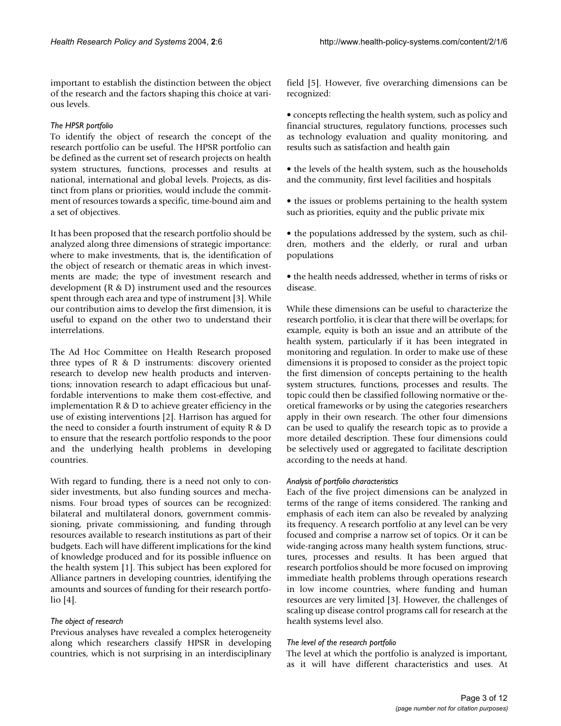important to establish the distinction between the object of the research and the factors shaping this choice at various levels.

## *The HPSR portfolio*

To identify the object of research the concept of the research portfolio can be useful. The HPSR portfolio can be defined as the current set of research projects on health system structures, functions, processes and results at national, international and global levels. Projects, as distinct from plans or priorities, would include the commitment of resources towards a specific, time-bound aim and a set of objectives.

It has been proposed that the research portfolio should be analyzed along three dimensions of strategic importance: where to make investments, that is, the identification of the object of research or thematic areas in which investments are made; the type of investment research and development (R & D) instrument used and the resources spent through each area and type of instrument [3]. While our contribution aims to develop the first dimension, it is useful to expand on the other two to understand their interrelations.

The Ad Hoc Committee on Health Research proposed three types of R & D instruments: discovery oriented research to develop new health products and interventions; innovation research to adapt efficacious but unaffordable interventions to make them cost-effective, and implementation R & D to achieve greater efficiency in the use of existing interventions [2]. Harrison has argued for the need to consider a fourth instrument of equity R & D to ensure that the research portfolio responds to the poor and the underlying health problems in developing countries.

With regard to funding, there is a need not only to consider investments, but also funding sources and mechanisms. Four broad types of sources can be recognized: bilateral and multilateral donors, government commissioning, private commissioning, and funding through resources available to research institutions as part of their budgets. Each will have different implications for the kind of knowledge produced and for its possible influence on the health system [1]. This subject has been explored for Alliance partners in developing countries, identifying the amounts and sources of funding for their research portfolio [4].

# *The object of research*

Previous analyses have revealed a complex heterogeneity along which researchers classify HPSR in developing countries, which is not surprising in an interdisciplinary field [5]. However, five overarching dimensions can be recognized:

• concepts reflecting the health system, such as policy and financial structures, regulatory functions, processes such as technology evaluation and quality monitoring, and results such as satisfaction and health gain

• the levels of the health system, such as the households and the community, first level facilities and hospitals

• the issues or problems pertaining to the health system such as priorities, equity and the public private mix

• the populations addressed by the system, such as children, mothers and the elderly, or rural and urban populations

• the health needs addressed, whether in terms of risks or disease.

While these dimensions can be useful to characterize the research portfolio, it is clear that there will be overlaps; for example, equity is both an issue and an attribute of the health system, particularly if it has been integrated in monitoring and regulation. In order to make use of these dimensions it is proposed to consider as the project topic the first dimension of concepts pertaining to the health system structures, functions, processes and results. The topic could then be classified following normative or theoretical frameworks or by using the categories researchers apply in their own research. The other four dimensions can be used to qualify the research topic as to provide a more detailed description. These four dimensions could be selectively used or aggregated to facilitate description according to the needs at hand.

## *Analysis of portfolio characteristics*

Each of the five project dimensions can be analyzed in terms of the range of items considered. The ranking and emphasis of each item can also be revealed by analyzing its frequency. A research portfolio at any level can be very focused and comprise a narrow set of topics. Or it can be wide-ranging across many health system functions, structures, processes and results. It has been argued that research portfolios should be more focused on improving immediate health problems through operations research in low income countries, where funding and human resources are very limited [3]. However, the challenges of scaling up disease control programs call for research at the health systems level also.

# *The level of the research portfolio*

The level at which the portfolio is analyzed is important, as it will have different characteristics and uses. At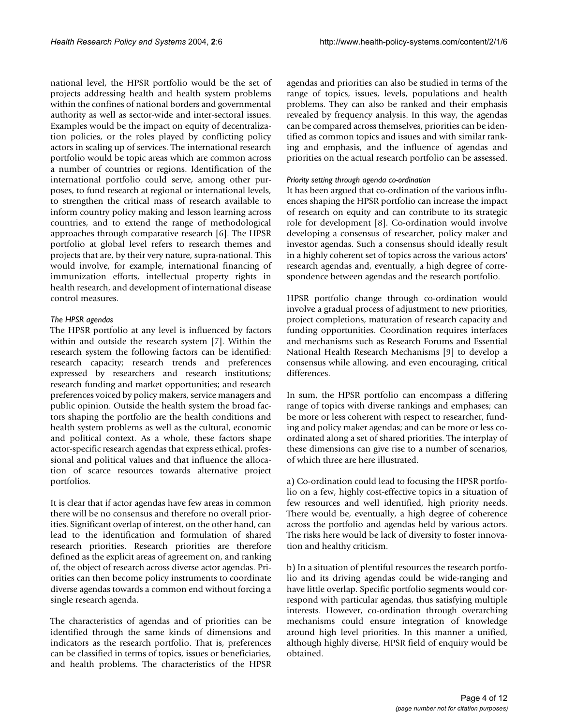national level, the HPSR portfolio would be the set of projects addressing health and health system problems within the confines of national borders and governmental authority as well as sector-wide and inter-sectoral issues. Examples would be the impact on equity of decentralization policies, or the roles played by conflicting policy actors in scaling up of services. The international research portfolio would be topic areas which are common across a number of countries or regions. Identification of the international portfolio could serve, among other purposes, to fund research at regional or international levels, to strengthen the critical mass of research available to inform country policy making and lesson learning across countries, and to extend the range of methodological approaches through comparative research [6]. The HPSR portfolio at global level refers to research themes and projects that are, by their very nature, supra-national. This would involve, for example, international financing of immunization efforts, intellectual property rights in health research, and development of international disease control measures.

# *The HPSR agendas*

The HPSR portfolio at any level is influenced by factors within and outside the research system [7]. Within the research system the following factors can be identified: research capacity; research trends and preferences expressed by researchers and research institutions; research funding and market opportunities; and research preferences voiced by policy makers, service managers and public opinion. Outside the health system the broad factors shaping the portfolio are the health conditions and health system problems as well as the cultural, economic and political context. As a whole, these factors shape actor-specific research agendas that express ethical, professional and political values and that influence the allocation of scarce resources towards alternative project portfolios.

It is clear that if actor agendas have few areas in common there will be no consensus and therefore no overall priorities. Significant overlap of interest, on the other hand, can lead to the identification and formulation of shared research priorities. Research priorities are therefore defined as the explicit areas of agreement on, and ranking of, the object of research across diverse actor agendas. Priorities can then become policy instruments to coordinate diverse agendas towards a common end without forcing a single research agenda.

The characteristics of agendas and of priorities can be identified through the same kinds of dimensions and indicators as the research portfolio. That is, preferences can be classified in terms of topics, issues or beneficiaries, and health problems. The characteristics of the HPSR agendas and priorities can also be studied in terms of the range of topics, issues, levels, populations and health problems. They can also be ranked and their emphasis revealed by frequency analysis. In this way, the agendas can be compared across themselves, priorities can be identified as common topics and issues and with similar ranking and emphasis, and the influence of agendas and priorities on the actual research portfolio can be assessed.

# *Priority setting through agenda co-ordination*

It has been argued that co-ordination of the various influences shaping the HPSR portfolio can increase the impact of research on equity and can contribute to its strategic role for development [8]. Co-ordination would involve developing a consensus of researcher, policy maker and investor agendas. Such a consensus should ideally result in a highly coherent set of topics across the various actors' research agendas and, eventually, a high degree of correspondence between agendas and the research portfolio.

HPSR portfolio change through co-ordination would involve a gradual process of adjustment to new priorities, project completions, maturation of research capacity and funding opportunities. Coordination requires interfaces and mechanisms such as Research Forums and Essential National Health Research Mechanisms [9] to develop a consensus while allowing, and even encouraging, critical differences.

In sum, the HPSR portfolio can encompass a differing range of topics with diverse rankings and emphases; can be more or less coherent with respect to researcher, funding and policy maker agendas; and can be more or less coordinated along a set of shared priorities. The interplay of these dimensions can give rise to a number of scenarios, of which three are here illustrated.

a) Co-ordination could lead to focusing the HPSR portfolio on a few, highly cost-effective topics in a situation of few resources and well identified, high priority needs. There would be, eventually, a high degree of coherence across the portfolio and agendas held by various actors. The risks here would be lack of diversity to foster innovation and healthy criticism.

b) In a situation of plentiful resources the research portfolio and its driving agendas could be wide-ranging and have little overlap. Specific portfolio segments would correspond with particular agendas, thus satisfying multiple interests. However, co-ordination through overarching mechanisms could ensure integration of knowledge around high level priorities. In this manner a unified, although highly diverse, HPSR field of enquiry would be obtained.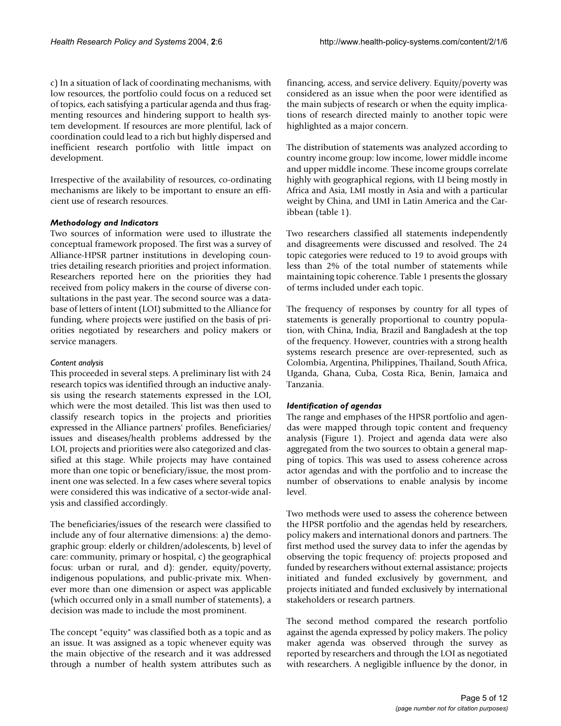c) In a situation of lack of coordinating mechanisms, with low resources, the portfolio could focus on a reduced set of topics, each satisfying a particular agenda and thus fragmenting resources and hindering support to health system development. If resources are more plentiful, lack of coordination could lead to a rich but highly dispersed and inefficient research portfolio with little impact on development.

Irrespective of the availability of resources, co-ordinating mechanisms are likely to be important to ensure an efficient use of research resources.

## *Methodology and Indicators*

Two sources of information were used to illustrate the conceptual framework proposed. The first was a survey of Alliance-HPSR partner institutions in developing countries detailing research priorities and project information. Researchers reported here on the priorities they had received from policy makers in the course of diverse consultations in the past year. The second source was a database of letters of intent (LOI) submitted to the Alliance for funding, where projects were justified on the basis of priorities negotiated by researchers and policy makers or service managers.

# *Content analysis*

This proceeded in several steps. A preliminary list with 24 research topics was identified through an inductive analysis using the research statements expressed in the LOI, which were the most detailed. This list was then used to classify research topics in the projects and priorities expressed in the Alliance partners' profiles. Beneficiaries/ issues and diseases/health problems addressed by the LOI, projects and priorities were also categorized and classified at this stage. While projects may have contained more than one topic or beneficiary/issue, the most prominent one was selected. In a few cases where several topics were considered this was indicative of a sector-wide analysis and classified accordingly.

The beneficiaries/issues of the research were classified to include any of four alternative dimensions: a) the demographic group: elderly or children/adolescents, b) level of care: community, primary or hospital, c) the geographical focus: urban or rural, and d): gender, equity/poverty, indigenous populations, and public-private mix. Whenever more than one dimension or aspect was applicable (which occurred only in a small number of statements), a decision was made to include the most prominent.

The concept "equity" was classified both as a topic and as an issue. It was assigned as a topic whenever equity was the main objective of the research and it was addressed through a number of health system attributes such as financing, access, and service delivery. Equity/poverty was considered as an issue when the poor were identified as the main subjects of research or when the equity implications of research directed mainly to another topic were highlighted as a major concern.

The distribution of statements was analyzed according to country income group: low income, lower middle income and upper middle income. These income groups correlate highly with geographical regions, with LI being mostly in Africa and Asia, LMI mostly in Asia and with a particular weight by China, and UMI in Latin America and the Caribbean (table [1](#page-5-0)).

Two researchers classified all statements independently and disagreements were discussed and resolved. The 24 topic categories were reduced to 19 to avoid groups with less than 2% of the total number of statements while maintaining topic coherence. Table [1](#page-5-0) presents the glossary of terms included under each topic.

The frequency of responses by country for all types of statements is generally proportional to country population, with China, India, Brazil and Bangladesh at the top of the frequency. However, countries with a strong health systems research presence are over-represented, such as Colombia, Argentina, Philippines, Thailand, South Africa, Uganda, Ghana, Cuba, Costa Rica, Benin, Jamaica and Tanzania.

# *Identification of agendas*

The range and emphases of the HPSR portfolio and agendas were mapped through topic content and frequency analysis (Figure 1). Project and agenda data were also aggregated from the two sources to obtain a general mapping of topics. This was used to assess coherence across actor agendas and with the portfolio and to increase the number of observations to enable analysis by income level.

Two methods were used to assess the coherence between the HPSR portfolio and the agendas held by researchers, policy makers and international donors and partners. The first method used the survey data to infer the agendas by observing the topic frequency of: projects proposed and funded by researchers without external assistance; projects initiated and funded exclusively by government, and projects initiated and funded exclusively by international stakeholders or research partners.

The second method compared the research portfolio against the agenda expressed by policy makers. The policy maker agenda was observed through the survey as reported by researchers and through the LOI as negotiated with researchers. A negligible influence by the donor, in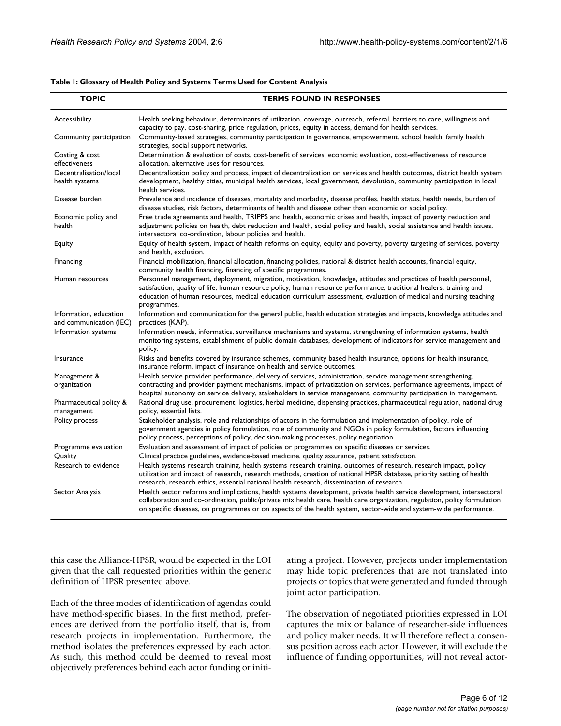#### <span id="page-5-0"></span>**Table 1: Glossary of Health Policy and Systems Terms Used for Content Analysis**

| <b>TOPIC</b>                                      | <b>TERMS FOUND IN RESPONSES</b>                                                                                                                                                                                                                                                                                                                                                                                                           |
|---------------------------------------------------|-------------------------------------------------------------------------------------------------------------------------------------------------------------------------------------------------------------------------------------------------------------------------------------------------------------------------------------------------------------------------------------------------------------------------------------------|
| Accessibility                                     | Health seeking behaviour, determinants of utilization, coverage, outreach, referral, barriers to care, willingness and<br>capacity to pay, cost-sharing, price regulation, prices, equity in access, demand for health services.                                                                                                                                                                                                          |
| Community participation                           | Community-based strategies, community participation in governance, empowerment, school health, family health<br>strategies, social support networks.                                                                                                                                                                                                                                                                                      |
| Costing & cost<br>effectiveness                   | Determination & evaluation of costs, cost-benefit of services, economic evaluation, cost-effectiveness of resource<br>allocation, alternative uses for resources.                                                                                                                                                                                                                                                                         |
| Decentralisation/local<br>health systems          | Decentralization policy and process, impact of decentralization on services and health outcomes, district health system<br>development, healthy cities, municipal health services, local government, devolution, community participation in local<br>health services.                                                                                                                                                                     |
| Disease burden                                    | Prevalence and incidence of diseases, mortality and morbidity, disease profiles, health status, health needs, burden of<br>disease studies, risk factors, determinants of health and disease other than economic or social policy.                                                                                                                                                                                                        |
| Economic policy and<br>health                     | Free trade agreements and health, TRIPPS and health, economic crises and health, impact of poverty reduction and<br>adjustment policies on health, debt reduction and health, social policy and health, social assistance and health issues,<br>intersectoral co-ordination, labour policies and health.                                                                                                                                  |
| Equity                                            | Equity of health system, impact of health reforms on equity, equity and poverty, poverty targeting of services, poverty<br>and health, exclusion.                                                                                                                                                                                                                                                                                         |
| Financing                                         | Financial mobilization, financial allocation, financing policies, national & district health accounts, financial equity,<br>community health financing, financing of specific programmes.                                                                                                                                                                                                                                                 |
| Human resources                                   | Personnel management, deployment, migration, motivation, knowledge, attitudes and practices of health personnel,<br>satisfaction, quality of life, human resource policy, human resource performance, traditional healers, training and<br>education of human resources, medical education curriculum assessment, evaluation of medical and nursing teaching<br>programmes.                                                               |
| Information, education<br>and communication (IEC) | Information and communication for the general public, health education strategies and impacts, knowledge attitudes and<br>practices (KAP).                                                                                                                                                                                                                                                                                                |
| Information systems                               | Information needs, informatics, surveillance mechanisms and systems, strengthening of information systems, health<br>monitoring systems, establishment of public domain databases, development of indicators for service management and<br>policy.                                                                                                                                                                                        |
| Insurance                                         | Risks and benefits covered by insurance schemes, community based health insurance, options for health insurance,<br>insurance reform, impact of insurance on health and service outcomes.                                                                                                                                                                                                                                                 |
| Management &<br>organization                      | Health service provider performance, delivery of services, administration, service management strengthening,<br>contracting and provider payment mechanisms, impact of privatization on services, performance agreements, impact of<br>hospital autonomy on service delivery, stakeholders in service management, community participation in management.                                                                                  |
| Pharmaceutical policy &<br>management             | Rational drug use, procurement, logistics, herbal medicine, dispensing practices, pharmaceutical regulation, national drug<br>policy, essential lists.                                                                                                                                                                                                                                                                                    |
| Policy process                                    | Stakeholder analysis, role and relationships of actors in the formulation and implementation of policy, role of<br>government agencies in policy formulation, role of community and NGOs in policy formulation, factors influencing<br>policy process, perceptions of policy, decision-making processes, policy negotiation.                                                                                                              |
| Programme evaluation                              | Evaluation and assessment of impact of policies or programmes on specific diseases or services.                                                                                                                                                                                                                                                                                                                                           |
| Quality<br>Research to evidence                   | Clinical practice guidelines, evidence-based medicine, quality assurance, patient satisfaction.<br>Health systems research training, health systems research training, outcomes of research, research impact, policy<br>utilization and impact of research, research methods, creation of national HPSR database, priority setting of health<br>research, research ethics, essential national health research, dissemination of research. |
| Sector Analysis                                   | Health sector reforms and implications, health systems development, private health service development, intersectoral<br>collaboration and co-ordination, public/private mix health care, health care organization, regulation, policy formulation<br>on specific diseases, on programmes or on aspects of the health system, sector-wide and system-wide performance.                                                                    |

this case the Alliance-HPSR, would be expected in the LOI given that the call requested priorities within the generic definition of HPSR presented above.

Each of the three modes of identification of agendas could have method-specific biases. In the first method, preferences are derived from the portfolio itself, that is, from research projects in implementation. Furthermore, the method isolates the preferences expressed by each actor. As such, this method could be deemed to reveal most objectively preferences behind each actor funding or initiating a project. However, projects under implementation may hide topic preferences that are not translated into projects or topics that were generated and funded through joint actor participation.

The observation of negotiated priorities expressed in LOI captures the mix or balance of researcher-side influences and policy maker needs. It will therefore reflect a consensus position across each actor. However, it will exclude the influence of funding opportunities, will not reveal actor-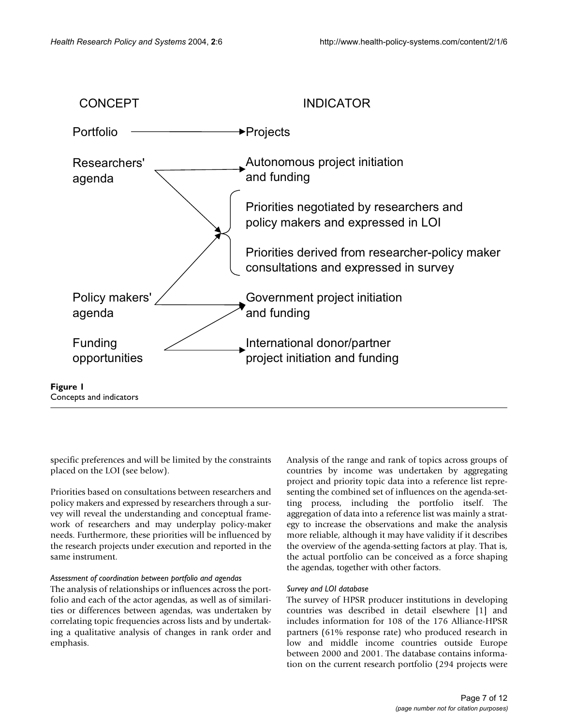

specific preferences and will be limited by the constraints placed on the LOI (see below).

Priorities based on consultations between researchers and policy makers and expressed by researchers through a survey will reveal the understanding and conceptual framework of researchers and may underplay policy-maker needs. Furthermore, these priorities will be influenced by the research projects under execution and reported in the same instrument.

## *Assessment of coordination between portfolio and agendas*

The analysis of relationships or influences across the portfolio and each of the actor agendas, as well as of similarities or differences between agendas, was undertaken by correlating topic frequencies across lists and by undertaking a qualitative analysis of changes in rank order and emphasis.

Analysis of the range and rank of topics across groups of countries by income was undertaken by aggregating project and priority topic data into a reference list representing the combined set of influences on the agenda-setting process, including the portfolio itself. The aggregation of data into a reference list was mainly a strategy to increase the observations and make the analysis more reliable, although it may have validity if it describes the overview of the agenda-setting factors at play. That is, the actual portfolio can be conceived as a force shaping the agendas, together with other factors.

## *Survey and LOI database*

The survey of HPSR producer institutions in developing countries was described in detail elsewhere [1] and includes information for 108 of the 176 Alliance-HPSR partners (61% response rate) who produced research in low and middle income countries outside Europe between 2000 and 2001. The database contains information on the current research portfolio (294 projects were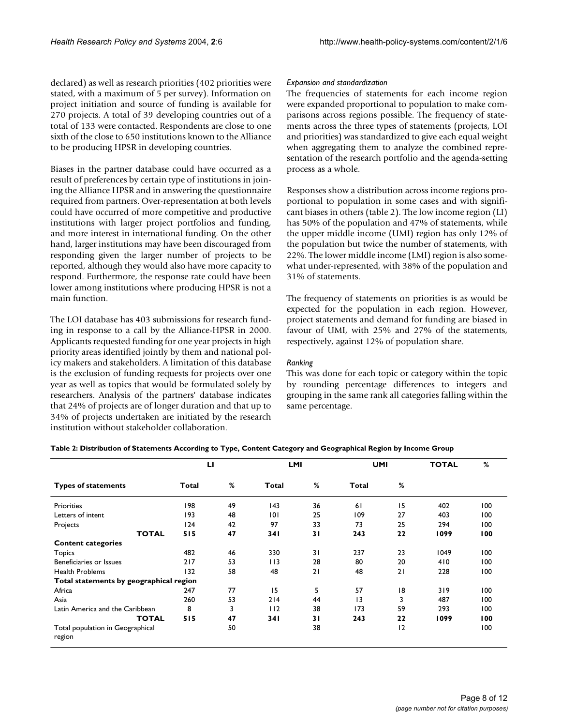declared) as well as research priorities (402 priorities were stated, with a maximum of 5 per survey). Information on project initiation and source of funding is available for 270 projects. A total of 39 developing countries out of a total of 133 were contacted. Respondents are close to one sixth of the close to 650 institutions known to the Alliance to be producing HPSR in developing countries.

Biases in the partner database could have occurred as a result of preferences by certain type of institutions in joining the Alliance HPSR and in answering the questionnaire required from partners. Over-representation at both levels could have occurred of more competitive and productive institutions with larger project portfolios and funding, and more interest in international funding. On the other hand, larger institutions may have been discouraged from responding given the larger number of projects to be reported, although they would also have more capacity to respond. Furthermore, the response rate could have been lower among institutions where producing HPSR is not a main function.

The LOI database has 403 submissions for research funding in response to a call by the Alliance-HPSR in 2000. Applicants requested funding for one year projects in high priority areas identified jointly by them and national policy makers and stakeholders. A limitation of this database is the exclusion of funding requests for projects over one year as well as topics that would be formulated solely by researchers. Analysis of the partners' database indicates that 24% of projects are of longer duration and that up to 34% of projects undertaken are initiated by the research institution without stakeholder collaboration.

#### *Expansion and standardization*

The frequencies of statements for each income region were expanded proportional to population to make comparisons across regions possible. The frequency of statements across the three types of statements (projects, LOI and priorities) was standardized to give each equal weight when aggregating them to analyze the combined representation of the research portfolio and the agenda-setting process as a whole.

Responses show a distribution across income regions proportional to population in some cases and with significant biases in others (table [2](#page-7-0)). The low income region (LI) has 50% of the population and 47% of statements, while the upper middle income (UMI) region has only 12% of the population but twice the number of statements, with 22%. The lower middle income (LMI) region is also somewhat under-represented, with 38% of the population and 31% of statements.

The frequency of statements on priorities is as would be expected for the population in each region. However, project statements and demand for funding are biased in favour of UMI, with 25% and 27% of the statements, respectively, against 12% of population share.

#### *Ranking*

This was done for each topic or category within the topic by rounding percentage differences to integers and grouping in the same rank all categories falling within the same percentage.

|                                            | ы     |    | <b>LMI</b> |    | <b>UMI</b> |                | <b>TOTAL</b> | %   |  |
|--------------------------------------------|-------|----|------------|----|------------|----------------|--------------|-----|--|
| <b>Types of statements</b>                 | Total | %  | Total      | %  | Total      | %              |              |     |  |
| Priorities                                 | 198   | 49 | 143        | 36 | 61         | 15             | 402          | 100 |  |
| Letters of intent                          | 193   | 48 | 0          | 25 | 109        | 27             | 403          | 100 |  |
| Projects                                   | 124   | 42 | 97         | 33 | 73         | 25             | 294          | 100 |  |
| <b>TOTAL</b>                               | 515   | 47 | 341        | 31 | 243        | 22             | 1099         | 100 |  |
| <b>Content categories</b>                  |       |    |            |    |            |                |              |     |  |
| <b>Topics</b>                              | 482   | 46 | 330        | 31 | 237        | 23             | 1049         | 100 |  |
| Beneficiaries or Issues                    | 217   | 53 | 113        | 28 | 80         | 20             | 410          | 100 |  |
| <b>Health Problems</b>                     | 132   | 58 | 48         | 21 | 48         | 21             | 228          | 100 |  |
| Total statements by geographical region    |       |    |            |    |            |                |              |     |  |
| Africa                                     | 247   | 77 | 15         | 5  | 57         | 18             | 319          | 100 |  |
| Asia                                       | 260   | 53 | 214        | 44 | 13         | 3              | 487          | 100 |  |
| Latin America and the Caribbean            | 8     | 3  | 112        | 38 | 173        | 59             | 293          | 100 |  |
| <b>TOTAL</b>                               | 515   | 47 | <b>341</b> | 31 | 243        | 22             | 1099         | 100 |  |
| Total population in Geographical<br>region |       | 50 |            | 38 |            | $\overline{2}$ |              | 100 |  |

<span id="page-7-0"></span>**Table 2: Distribution of Statements According to Type, Content Category and Geographical Region by Income Group**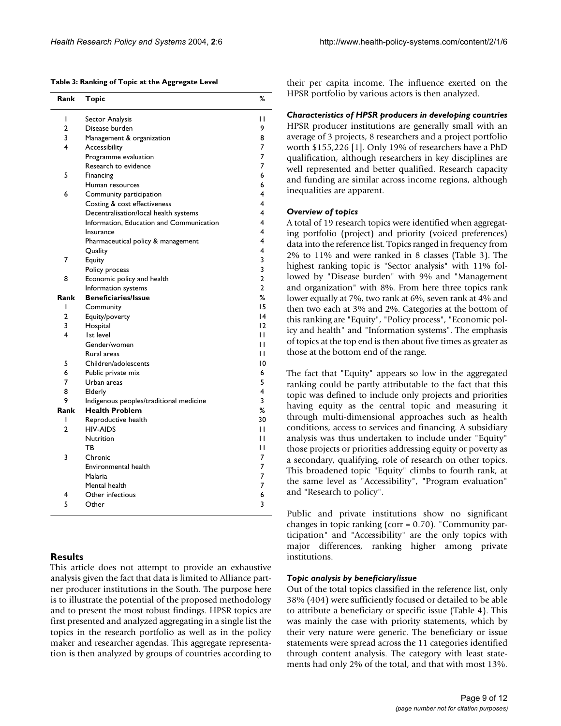#### <span id="page-8-0"></span>**Table 3: Ranking of Topic at the Aggregate Level**

| Rank           | Topic                                    | %              |
|----------------|------------------------------------------|----------------|
| I              | Sector Analysis                          | п              |
| $\mathcal{P}$  | Disease burden                           | 9              |
| 3              | Management & organization                | 8              |
| 4              | Accessibility                            | 7              |
|                | Programme evaluation                     | 7              |
|                | Research to evidence                     | 7              |
| 5              | Financing                                | 6              |
|                | Human resources                          | 6              |
| 6              | Community participation                  | 4              |
|                | Costing & cost effectiveness             | 4              |
|                | Decentralisation/local health systems    | 4              |
|                | Information, Education and Communication | 4              |
|                | Insurance                                | 4              |
|                | Pharmaceutical policy & management       | 4              |
|                | Quality                                  | 4              |
| 7              | Equity                                   | 3              |
|                | Policy process                           | 3              |
| 8              | Economic policy and health               | $\overline{2}$ |
|                | Information systems                      | $\overline{2}$ |
| Rank           | <b>Beneficiaries/Issue</b>               | %              |
| T              | Community                                | 15             |
| $\overline{2}$ | Equity/poverty                           | 4              |
| 3              | Hospital                                 | 12             |
| 4              | Ist level                                | П              |
|                | Gender/women                             | П              |
|                | Rural areas                              | П              |
| 5              | Children/adolescents                     | 10             |
| 6              | Public private mix                       | 6              |
| 7              | Urban areas                              | 5              |
| 8              | Elderly                                  | 4              |
| 9              | Indigenous peoples/traditional medicine  | 3              |
| Rank           | <b>Health Problem</b>                    | ℅              |
| ı              | Reproductive health                      | 30             |
| 2              | <b>HIV-AIDS</b>                          | П              |
|                | Nutrition                                | п              |
|                | ТB                                       | П              |
| 3              | Chronic                                  | 7              |
|                | Environmental health                     | 7              |
|                | Malaria                                  | 7              |
|                | Mental health                            | 7              |
| 4              | Other infectious                         | 6              |
| 5              | Other                                    | 3              |
|                |                                          |                |

## **Results**

This article does not attempt to provide an exhaustive analysis given the fact that data is limited to Alliance partner producer institutions in the South. The purpose here is to illustrate the potential of the proposed methodology and to present the most robust findings. HPSR topics are first presented and analyzed aggregating in a single list the topics in the research portfolio as well as in the policy maker and researcher agendas. This aggregate representation is then analyzed by groups of countries according to their per capita income. The influence exerted on the HPSR portfolio by various actors is then analyzed.

*Characteristics of HPSR producers in developing countries* HPSR producer institutions are generally small with an average of 3 projects, 8 researchers and a project portfolio worth \$155,226 [1]. Only 19% of researchers have a PhD qualification, although researchers in key disciplines are well represented and better qualified. Research capacity and funding are similar across income regions, although inequalities are apparent.

#### *Overview of topics*

A total of 19 research topics were identified when aggregating portfolio (project) and priority (voiced preferences) data into the reference list. Topics ranged in frequency from 2% to 11% and were ranked in 8 classes (Table [3\)](#page-8-0). The highest ranking topic is "Sector analysis" with 11% followed by "Disease burden" with 9% and "Management and organization" with 8%. From here three topics rank lower equally at 7%, two rank at 6%, seven rank at 4% and then two each at 3% and 2%. Categories at the bottom of this ranking are "Equity", "Policy process", "Economic policy and health" and "Information systems". The emphasis of topics at the top end is then about five times as greater as those at the bottom end of the range.

The fact that "Equity" appears so low in the aggregated ranking could be partly attributable to the fact that this topic was defined to include only projects and priorities having equity as the central topic and measuring it through multi-dimensional approaches such as health conditions, access to services and financing. A subsidiary analysis was thus undertaken to include under "Equity" those projects or priorities addressing equity or poverty as a secondary, qualifying, role of research on other topics. This broadened topic "Equity" climbs to fourth rank, at the same level as "Accessibility", "Program evaluation" and "Research to policy".

Public and private institutions show no significant changes in topic ranking (corr = 0.70). "Community participation" and "Accessibility" are the only topics with major differences, ranking higher among private institutions.

## *Topic analysis by beneficiary/issue*

Out of the total topics classified in the reference list, only 38% (404) were sufficiently focused or detailed to be able to attribute a beneficiary or specific issue (Table [4\)](#page-9-0). This was mainly the case with priority statements, which by their very nature were generic. The beneficiary or issue statements were spread across the 11 categories identified through content analysis. The category with least statements had only 2% of the total, and that with most 13%.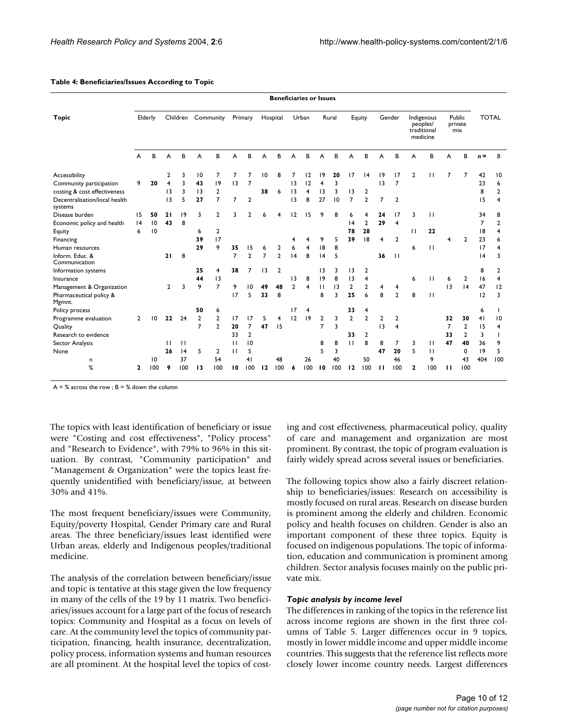|                                          | <b>Beneficiaries or Issues</b> |                 |                |                         |                |                         |              |                |                |                |                |       |                |       |                |                         |                |                 |              |                                                   |                          |                |                |                |
|------------------------------------------|--------------------------------|-----------------|----------------|-------------------------|----------------|-------------------------|--------------|----------------|----------------|----------------|----------------|-------|----------------|-------|----------------|-------------------------|----------------|-----------------|--------------|---------------------------------------------------|--------------------------|----------------|----------------|----------------|
| <b>Topic</b>                             |                                | Elderly         |                | Children                |                | Community               |              | Primary        |                | Hospital       |                | Urban |                | Rural |                | Equity                  |                | Gender          |              | Indigenous<br>peoples/<br>traditional<br>medicine | Public<br>private<br>mix |                | <b>TOTAL</b>   |                |
|                                          | A                              | B               | A              | B                       | A              | B                       | A            | В              | A              | В              | A              | B     | А              | B     | A              | В                       | A              | B               | А            | R                                                 | A                        | R              | $n =$          | B              |
| Accessibility                            |                                |                 | $\overline{2}$ | 3                       | 10             | $\overline{7}$          | 7            | 7              | 10             | 8              | 7              | 12    | 19             | 20    | 17             | 4                       | 19             | 17              | $\mathbf{2}$ | П                                                 | 7                        | 7              | 42             | 10             |
| Community participation                  | 9                              | 20              | 4              | 3                       | 43             | 9                       | 3            | $\overline{7}$ |                |                | 3              | 12    | 4              | 3     |                |                         | 3              | $\overline{7}$  |              |                                                   |                          |                | 23             | 6              |
| costing & cost effectiveness             |                                |                 | 3              | $\overline{\mathbf{3}}$ | 3              | $\overline{\mathbf{c}}$ |              |                | 38             | 6              | 3              | 4     | 3              | 3     | 13             | $\overline{\mathbf{c}}$ |                |                 |              |                                                   |                          |                | 8              | $\overline{2}$ |
| Decentralisation/local health<br>systems |                                |                 | 3              | 5                       | 27             | $\overline{7}$          | 7            | $\overline{2}$ |                |                | 3              | 8     | 27             | 10    | $\overline{7}$ | $\overline{2}$          | 7              | $\overline{2}$  |              |                                                   |                          |                | 15             | $\overline{4}$ |
| Disease burden                           | 15                             | 50              | 21             | 9                       | 3              | $\mathbf{2}$            | 3            | 2              | 6              |                | 12             | 15    | 9              | 8     | 6              | 4                       | 24             | 17              | 3            | п                                                 |                          |                | 34             | 8              |
| Economic policy and health               | 4                              | 10              | 43             | 8                       |                |                         |              |                |                |                |                |       |                |       | 4              | $\overline{2}$          | 29             | $\overline{4}$  |              |                                                   |                          |                | $\overline{7}$ | $\overline{2}$ |
| Equity                                   | 6                              | 10              |                |                         | 6              | $\overline{2}$          |              |                |                |                |                |       |                |       | 78             | 28                      |                |                 | $\mathbf{H}$ | 22                                                |                          |                | 8              | 4              |
| Financing                                |                                |                 |                |                         | 39             | 17                      |              |                |                |                |                | 4     | 9              | 5     | 39             | 8                       | $\overline{4}$ | $\overline{2}$  |              |                                                   | 4                        | $\overline{2}$ | 23             | 6              |
| Human resources                          |                                |                 |                |                         | 29             | 9                       | 35           | 15             | 6              | 2              | 6              | 4     | 8              | 8     |                |                         |                |                 | 6            | $\mathbf{H}$                                      |                          |                | 17             | 4              |
| Inform. Educ. &<br>Communication         |                                |                 | 21             | 8                       |                |                         | 7            | $\mathbf{2}$   | $\overline{7}$ | $\overline{2}$ | 4              | 8     | 4              | 5     |                |                         | 36             | $\overline{11}$ |              |                                                   |                          |                | 4              | 3              |
| Information systems                      |                                |                 |                |                         | 25             | 4                       | 38           | 7              | 13             | $\mathbf{2}$   |                |       | 13             | 3     | 13             | 2                       |                |                 |              |                                                   |                          |                | 8              | $\overline{2}$ |
| Insurance                                |                                |                 |                |                         | 44             | 13                      |              |                |                |                | 3              | 8     | 9              | 8     | 13             | 4                       |                |                 | 6            | п                                                 | 6                        | $\overline{2}$ | 16             | 4              |
| Management & Organization                |                                |                 | $\overline{2}$ | 3                       | 9              | $\overline{7}$          | 9            | 10             | 49             | 48             | $\overline{2}$ | 4     | $\mathbf{H}$   | 3     | $\mathbf{2}$   | $\overline{2}$          | 4              | 4               |              |                                                   | 13                       | 4              | 47             | 12             |
| Pharmaceutical policy &<br>Mgmnt.        |                                |                 |                |                         |                |                         | 17           | 5              | 33             | 8              |                |       | 8              | 3     | 25             | 6                       | 8              | $\overline{2}$  | 8            | $\mathbf{H}$                                      |                          |                | 12             | 3              |
| Policy process                           |                                |                 |                |                         | 50             | 6                       |              |                |                |                | 17             | 4     |                |       | 33             | 4                       |                |                 |              |                                                   |                          |                | 6              |                |
| Programme evaluation                     | $\overline{2}$                 | 10              | 22             | 24                      | $\overline{2}$ | $\overline{2}$          | 17           | 17             | 5              | 4              | 12             | 9     | $\overline{2}$ | 3     | $\overline{2}$ | $\overline{2}$          | $\overline{2}$ | $\mathbf{2}$    |              |                                                   | 32                       | 30             | 41             | 10             |
| Quality                                  |                                |                 |                |                         | $\overline{7}$ | $\overline{2}$          | 20           | 7              | 47             | 15             |                |       | 7              | 3     |                |                         | 13             | 4               |              |                                                   | 7                        | $\mathbf{2}$   | 15             | 4              |
| Research to evidence                     |                                |                 |                |                         |                |                         | 33           | $\overline{2}$ |                |                |                |       |                |       | 33             | $\overline{2}$          |                |                 |              |                                                   | 33                       | $\overline{2}$ | 3              |                |
| Sector Analysis                          |                                |                 | П              | П                       |                |                         | $\mathbf{H}$ | 10             |                |                |                |       | 8              | 8     | $\mathbf{H}$   | 8                       | 8              | 7               | 3            | П                                                 | 47                       | 40             | 36             | 9              |
| None                                     |                                |                 | 26             | 4                       | 5              | 2                       | $\mathbf{H}$ | 5              |                |                |                |       | 5              | 3     |                |                         | 47             | 20              | 5            | п                                                 |                          | 0              | 9              | 5              |
|                                          |                                | $\overline{10}$ |                | 37                      |                | 54                      |              | 41             |                | 48             |                | 26    |                | 40    |                | 50                      |                | 46              |              | 9                                                 |                          | 43             | 404            | 100            |
| n<br>%                                   |                                | 100             | 9              | 100                     | 13             | 100                     | 10           | 100            |                | 100            | 6              | 100   |                | 100   |                | 100                     |                | 100             | $\mathbf{z}$ | 100                                               |                          | 100            |                |                |
|                                          | 2                              |                 |                |                         |                |                         |              |                | 12             |                |                |       | 10             |       | 12             |                         | ш              |                 |              |                                                   | ш                        |                |                |                |

#### <span id="page-9-0"></span>**Table 4: Beneficiaries/Issues According to Topic**

 $A = %$  across the row ;  $B = %$  down the column

The topics with least identification of beneficiary or issue were "Costing and cost effectiveness", "Policy process" and "Research to Evidence", with 79% to 96% in this situation. By contrast, "Community participation" and "Management & Organization" were the topics least frequently unidentified with beneficiary/issue, at between 30% and 41%.

The most frequent beneficiary/issues were Community, Equity/poverty Hospital, Gender Primary care and Rural areas. The three beneficiary/issues least identified were Urban areas, elderly and Indigenous peoples/traditional medicine.

The analysis of the correlation between beneficiary/issue and topic is tentative at this stage given the low frequency in many of the cells of the 19 by 11 matrix. Two beneficiaries/issues account for a large part of the focus of research topics: Community and Hospital as a focus on levels of care. At the community level the topics of community participation, financing, health insurance, decentralization, policy process, information systems and human resources are all prominent. At the hospital level the topics of costing and cost effectiveness, pharmaceutical policy, quality of care and management and organization are most prominent. By contrast, the topic of program evaluation is fairly widely spread across several issues or beneficiaries.

The following topics show also a fairly discreet relationship to beneficiaries/issues: Research on accessibility is mostly focused on rural areas. Research on disease burden is prominent among the elderly and children. Economic policy and health focuses on children. Gender is also an important component of these three topics. Equity is focused on indigenous populations. The topic of information, education and communication is prominent among children. Sector analysis focuses mainly on the public private mix.

## *Topic analysis by income level*

The differences in ranking of the topics in the reference list across income regions are shown in the first three columns of Table [5.](#page-10-0) Larger differences occur in 9 topics, mostly in lower middle income and upper middle income countries. This suggests that the reference list reflects more closely lower income country needs. Largest differences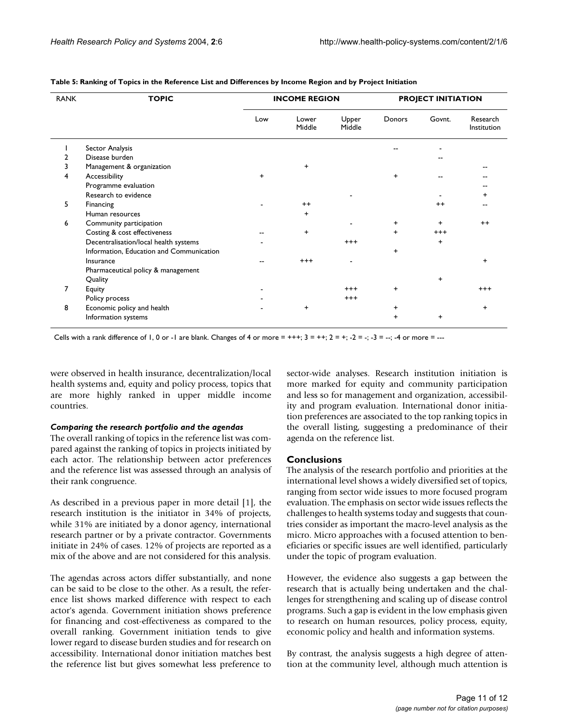| <b>RANK</b> | <b>TOPIC</b>                             |           | <b>INCOME REGION</b> |                 | <b>PROJECT INITIATION</b> |           |                         |  |  |
|-------------|------------------------------------------|-----------|----------------------|-----------------|---------------------------|-----------|-------------------------|--|--|
|             |                                          | Low       | Lower<br>Middle      | Upper<br>Middle | Donors                    | Govnt.    | Research<br>Institution |  |  |
|             | Sector Analysis                          |           |                      |                 |                           |           |                         |  |  |
|             | Disease burden                           |           |                      |                 |                           |           |                         |  |  |
| 3           | Management & organization                |           | $\ddot{}$            |                 |                           |           |                         |  |  |
| 4           | Accessibility                            | $\ddot{}$ |                      |                 | +                         |           |                         |  |  |
|             | Programme evaluation                     |           |                      |                 |                           |           |                         |  |  |
|             | Research to evidence                     |           |                      |                 |                           |           | ٠                       |  |  |
| 5           | Financing                                |           | $++$                 |                 |                           | $^{++}$   |                         |  |  |
|             | Human resources                          |           | $\pm$                |                 |                           |           |                         |  |  |
| 6           | Community participation                  |           |                      |                 | +                         |           | $++$                    |  |  |
|             | Costing & cost effectiveness             |           | +                    |                 | $\ddot{}$                 | $^{+++}$  |                         |  |  |
|             | Decentralisation/local health systems    |           |                      | $^{+++}$        |                           | $\ddot{}$ |                         |  |  |
|             | Information, Education and Communication |           |                      |                 | +                         |           |                         |  |  |
|             | Insurance                                |           | $^{+++}$             |                 |                           |           | $\ddot{}$               |  |  |
|             | Pharmaceutical policy & management       |           |                      |                 |                           |           |                         |  |  |
|             | Quality                                  |           |                      |                 |                           |           |                         |  |  |
| 7           | Equity                                   |           |                      | $^{+++}$        | $\ddot{}$                 |           | $^{+++}$                |  |  |
|             | Policy process                           |           |                      | $^{+++}$        |                           |           |                         |  |  |
| 8           | Economic policy and health               |           | $+$                  |                 | $\ddot{}$                 |           | $\ddot{}$               |  |  |
|             | Information systems                      |           |                      |                 | $\ddot{}$                 | +         |                         |  |  |

#### <span id="page-10-0"></span>**Table 5: Ranking of Topics in the Reference List and Differences by Income Region and by Project Initiation**

Cells with a rank difference of  $1, 0$  or -1 are blank. Changes of 4 or more = +++;  $3 = ++$ ;  $2 = +$ ;  $-2 = -$ ;  $-3 = -$ ;  $-4$  or more = ---

were observed in health insurance, decentralization/local health systems and, equity and policy process, topics that are more highly ranked in upper middle income countries.

#### *Comparing the research portfolio and the agendas*

The overall ranking of topics in the reference list was compared against the ranking of topics in projects initiated by each actor. The relationship between actor preferences and the reference list was assessed through an analysis of their rank congruence.

As described in a previous paper in more detail [1], the research institution is the initiator in 34% of projects, while 31% are initiated by a donor agency, international research partner or by a private contractor. Governments initiate in 24% of cases. 12% of projects are reported as a mix of the above and are not considered for this analysis.

The agendas across actors differ substantially, and none can be said to be close to the other. As a result, the reference list shows marked difference with respect to each actor's agenda. Government initiation shows preference for financing and cost-effectiveness as compared to the overall ranking. Government initiation tends to give lower regard to disease burden studies and for research on accessibility. International donor initiation matches best the reference list but gives somewhat less preference to sector-wide analyses. Research institution initiation is more marked for equity and community participation and less so for management and organization, accessibility and program evaluation. International donor initiation preferences are associated to the top ranking topics in the overall listing, suggesting a predominance of their agenda on the reference list.

## **Conclusions**

The analysis of the research portfolio and priorities at the international level shows a widely diversified set of topics, ranging from sector wide issues to more focused program evaluation. The emphasis on sector wide issues reflects the challenges to health systems today and suggests that countries consider as important the macro-level analysis as the micro. Micro approaches with a focused attention to beneficiaries or specific issues are well identified, particularly under the topic of program evaluation.

However, the evidence also suggests a gap between the research that is actually being undertaken and the challenges for strengthening and scaling up of disease control programs. Such a gap is evident in the low emphasis given to research on human resources, policy process, equity, economic policy and health and information systems.

By contrast, the analysis suggests a high degree of attention at the community level, although much attention is